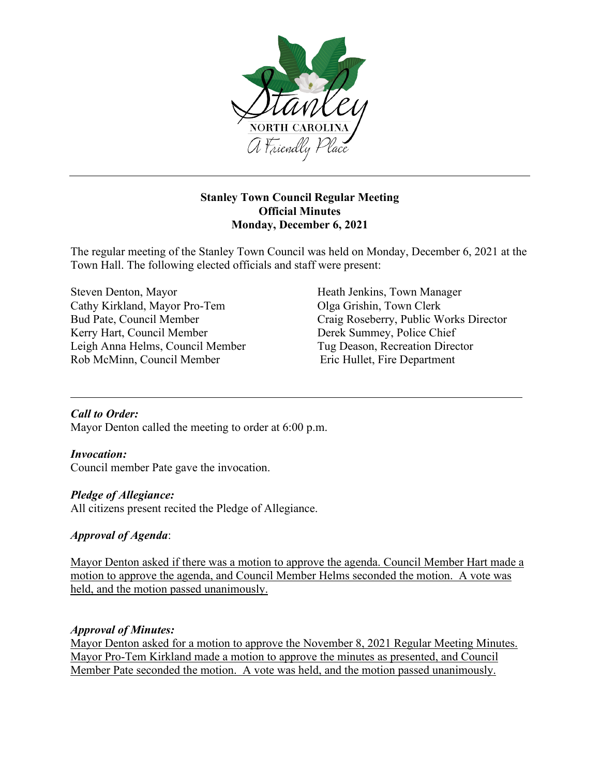

# **Stanley Town Council Regular Meeting Official Minutes Monday, December 6, 2021**

The regular meeting of the Stanley Town Council was held on Monday, December 6, 2021 at the Town Hall. The following elected officials and staff were present:

Steven Denton, Mayor<br>
Cathy Kirkland, Mayor Pro-Tem<br>
Olga Grishin, Town Clerk<br>
Olga Grishin, Town Clerk Cathy Kirkland, Mayor Pro-Tem Kerry Hart, Council Member<br>
Leigh Anna Helms, Council Member<br>
Tug Deason, Recreation Director Leigh Anna Helms, Council Member Rob McMinn, Council Member Eric Hullet, Fire Department

Bud Pate, Council Member Craig Roseberry, Public Works Director

## *Call to Order:*

Mayor Denton called the meeting to order at 6:00 p.m.

## *Invocation:*

Council member Pate gave the invocation.

## *Pledge of Allegiance:*

All citizens present recited the Pledge of Allegiance.

## *Approval of Agenda*:

Mayor Denton asked if there was a motion to approve the agenda. Council Member Hart made a motion to approve the agenda, and Council Member Helms seconded the motion. A vote was held, and the motion passed unanimously.

## *Approval of Minutes:*

Mayor Denton asked for a motion to approve the November 8, 2021 Regular Meeting Minutes. Mayor Pro-Tem Kirkland made a motion to approve the minutes as presented, and Council Member Pate seconded the motion. A vote was held, and the motion passed unanimously.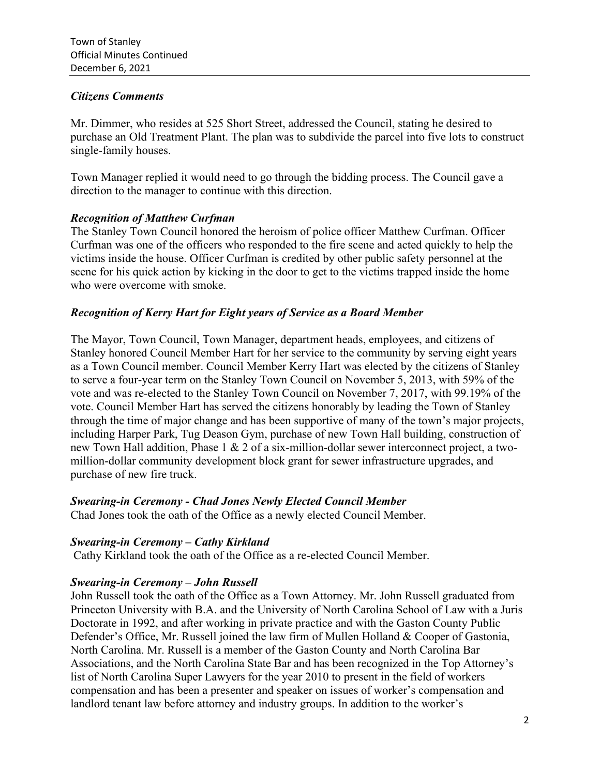#### *Citizens Comments*

Mr. Dimmer, who resides at 525 Short Street, addressed the Council, stating he desired to purchase an Old Treatment Plant. The plan was to subdivide the parcel into five lots to construct single-family houses.

Town Manager replied it would need to go through the bidding process. The Council gave a direction to the manager to continue with this direction.

## *Recognition of Matthew Curfman*

The Stanley Town Council honored the heroism of police officer Matthew Curfman. Officer Curfman was one of the officers who responded to the fire scene and acted quickly to help the victims inside the house. Officer Curfman is credited by other public safety personnel at the scene for his quick action by kicking in the door to get to the victims trapped inside the home who were overcome with smoke.

## *Recognition of Kerry Hart for Eight years of Service as a Board Member*

The Mayor, Town Council, Town Manager, department heads, employees, and citizens of Stanley honored Council Member Hart for her service to the community by serving eight years as a Town Council member. Council Member Kerry Hart was elected by the citizens of Stanley to serve a four-year term on the Stanley Town Council on November 5, 2013, with 59% of the vote and was re-elected to the Stanley Town Council on November 7, 2017, with 99.19% of the vote. Council Member Hart has served the citizens honorably by leading the Town of Stanley through the time of major change and has been supportive of many of the town's major projects, including Harper Park, Tug Deason Gym, purchase of new Town Hall building, construction of new Town Hall addition, Phase 1 & 2 of a six-million-dollar sewer interconnect project, a twomillion-dollar community development block grant for sewer infrastructure upgrades, and purchase of new fire truck.

## *Swearing-in Ceremony - Chad Jones Newly Elected Council Member*

Chad Jones took the oath of the Office as a newly elected Council Member.

#### *Swearing-in Ceremony – Cathy Kirkland*

Cathy Kirkland took the oath of the Office as a re-elected Council Member.

## *Swearing-in Ceremony – John Russell*

John Russell took the oath of the Office as a Town Attorney. Mr. John Russell graduated from Princeton University with B.A. and the University of North Carolina School of Law with a Juris Doctorate in 1992, and after working in private practice and with the Gaston County Public Defender's Office, Mr. Russell joined the law firm of Mullen Holland & Cooper of Gastonia, North Carolina. Mr. Russell is a member of the Gaston County and North Carolina Bar Associations, and the North Carolina State Bar and has been recognized in the Top Attorney's list of North Carolina Super Lawyers for the year 2010 to present in the field of workers compensation and has been a presenter and speaker on issues of worker's compensation and landlord tenant law before attorney and industry groups. In addition to the worker's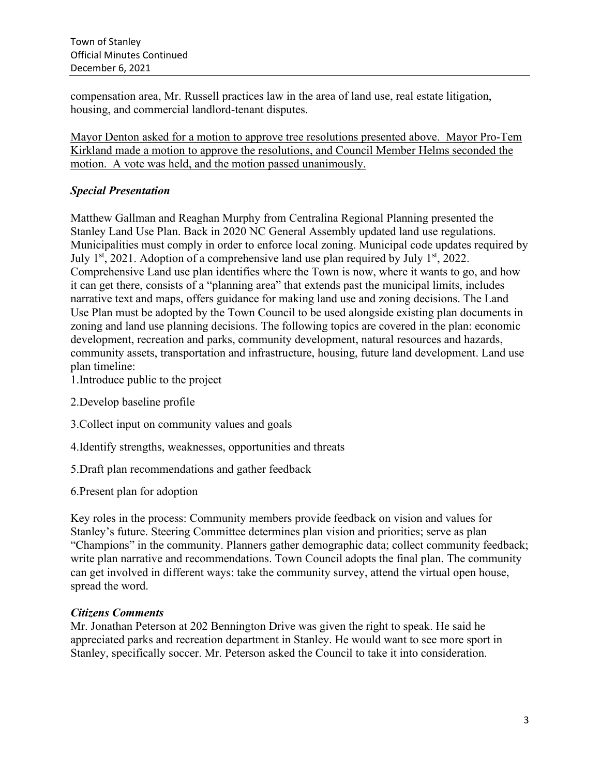compensation area, Mr. Russell practices law in the area of land use, real estate litigation, housing, and commercial landlord-tenant disputes.

Mayor Denton asked for a motion to approve tree resolutions presented above. Mayor Pro-Tem Kirkland made a motion to approve the resolutions, and Council Member Helms seconded the motion. A vote was held, and the motion passed unanimously.

# *Special Presentation*

Matthew Gallman and Reaghan Murphy from Centralina Regional Planning presented the Stanley Land Use Plan. Back in 2020 NC General Assembly updated land use regulations. Municipalities must comply in order to enforce local zoning. Municipal code updates required by July  $1<sup>st</sup>$ , 2021. Adoption of a comprehensive land use plan required by July  $1<sup>st</sup>$ , 2022. Comprehensive Land use plan identifies where the Town is now, where it wants to go, and how it can get there, consists of a "planning area" that extends past the municipal limits, includes narrative text and maps, offers guidance for making land use and zoning decisions. The Land Use Plan must be adopted by the Town Council to be used alongside existing plan documents in zoning and land use planning decisions. The following topics are covered in the plan: economic development, recreation and parks, community development, natural resources and hazards, community assets, transportation and infrastructure, housing, future land development. Land use plan timeline:

1.Introduce public to the project

2.Develop baseline profile

3.Collect input on community values and goals

4.Identify strengths, weaknesses, opportunities and threats

5.Draft plan recommendations and gather feedback

6.Present plan for adoption

Key roles in the process: Community members provide feedback on vision and values for Stanley's future. Steering Committee determines plan vision and priorities; serve as plan "Champions" in the community. Planners gather demographic data; collect community feedback; write plan narrative and recommendations. Town Council adopts the final plan. The community can get involved in different ways: take the community survey, attend the virtual open house, spread the word.

## *Citizens Comments*

Mr. Jonathan Peterson at 202 Bennington Drive was given the right to speak. He said he appreciated parks and recreation department in Stanley. He would want to see more sport in Stanley, specifically soccer. Mr. Peterson asked the Council to take it into consideration.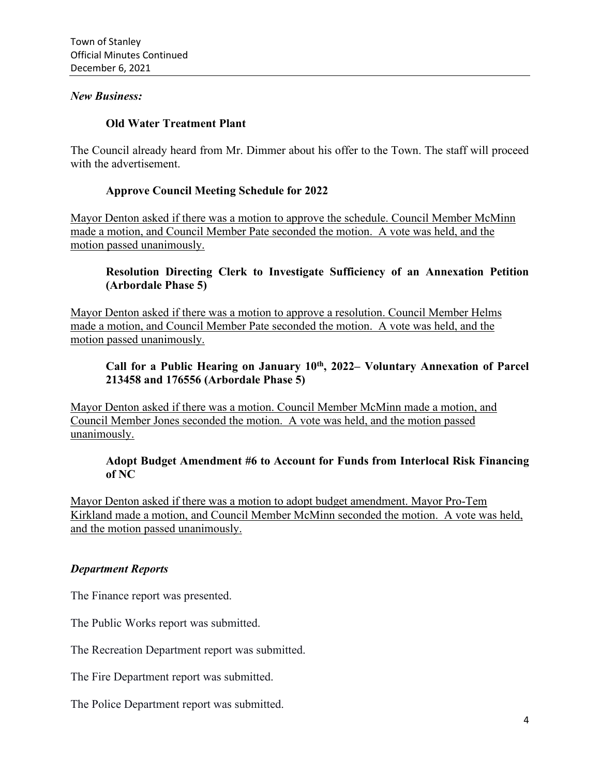#### *New Business:*

## **Old Water Treatment Plant**

The Council already heard from Mr. Dimmer about his offer to the Town. The staff will proceed with the advertisement.

#### **Approve Council Meeting Schedule for 2022**

Mayor Denton asked if there was a motion to approve the schedule. Council Member McMinn made a motion, and Council Member Pate seconded the motion. A vote was held, and the motion passed unanimously.

## **Resolution Directing Clerk to Investigate Sufficiency of an Annexation Petition (Arbordale Phase 5)**

Mayor Denton asked if there was a motion to approve a resolution. Council Member Helms made a motion, and Council Member Pate seconded the motion. A vote was held, and the motion passed unanimously.

## **Call for a Public Hearing on January 10th, 2022– Voluntary Annexation of Parcel 213458 and 176556 (Arbordale Phase 5)**

Mayor Denton asked if there was a motion. Council Member McMinn made a motion, and Council Member Jones seconded the motion. A vote was held, and the motion passed unanimously.

#### **Adopt Budget Amendment #6 to Account for Funds from Interlocal Risk Financing of NC**

Mayor Denton asked if there was a motion to adopt budget amendment. Mayor Pro-Tem Kirkland made a motion, and Council Member McMinn seconded the motion. A vote was held, and the motion passed unanimously.

## *Department Reports*

The Finance report was presented.

The Public Works report was submitted.

The Recreation Department report was submitted.

The Fire Department report was submitted.

The Police Department report was submitted.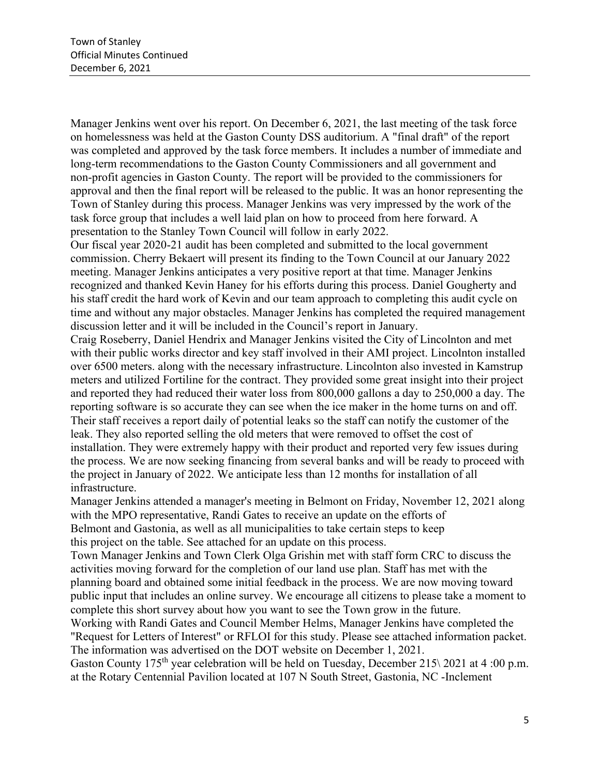Manager Jenkins went over his report. On December 6, 2021, the last meeting of the task force on homelessness was held at the Gaston County DSS auditorium. A "final draft" of the report was completed and approved by the task force members. It includes a number of immediate and long-term recommendations to the Gaston County Commissioners and all government and non-profit agencies in Gaston County. The report will be provided to the commissioners for approval and then the final report will be released to the public. It was an honor representing the Town of Stanley during this process. Manager Jenkins was very impressed by the work of the task force group that includes a well laid plan on how to proceed from here forward. A presentation to the Stanley Town Council will follow in early 2022.

Our fiscal year 2020-21 audit has been completed and submitted to the local government commission. Cherry Bekaert will present its finding to the Town Council at our January 2022 meeting. Manager Jenkins anticipates a very positive report at that time. Manager Jenkins recognized and thanked Kevin Haney for his efforts during this process. Daniel Gougherty and his staff credit the hard work of Kevin and our team approach to completing this audit cycle on time and without any major obstacles. Manager Jenkins has completed the required management discussion letter and it will be included in the Council's report in January.

Craig Roseberry, Daniel Hendrix and Manager Jenkins visited the City of Lincolnton and met with their public works director and key staff involved in their AMI project. Lincolnton installed over 6500 meters. along with the necessary infrastructure. Lincolnton also invested in Kamstrup meters and utilized Fortiline for the contract. They provided some great insight into their project and reported they had reduced their water loss from 800,000 gallons a day to 250,000 a day. The reporting software is so accurate they can see when the ice maker in the home turns on and off. Their staff receives a report daily of potential leaks so the staff can notify the customer of the leak. They also reported selling the old meters that were removed to offset the cost of installation. They were extremely happy with their product and reported very few issues during the process. We are now seeking financing from several banks and will be ready to proceed with the project in January of 2022. We anticipate less than 12 months for installation of all infrastructure.

Manager Jenkins attended a manager's meeting in Belmont on Friday, November 12, 2021 along with the MPO representative, Randi Gates to receive an update on the efforts of Belmont and Gastonia, as well as all municipalities to take certain steps to keep this project on the table. See attached for an update on this process.

Town Manager Jenkins and Town Clerk Olga Grishin met with staff form CRC to discuss the activities moving forward for the completion of our land use plan. Staff has met with the planning board and obtained some initial feedback in the process. We are now moving toward public input that includes an online survey. We encourage all citizens to please take a moment to complete this short survey about how you want to see the Town grow in the future.

Working with Randi Gates and Council Member Helms, Manager Jenkins have completed the "Request for Letters of Interest" or RFLOI for this study. Please see attached information packet. The information was advertised on the DOT website on December 1, 2021.

Gaston County 175<sup>th</sup> year celebration will be held on Tuesday, December 215\2021 at 4 :00 p.m. at the Rotary Centennial Pavilion located at 107 N South Street, Gastonia, NC -Inclement